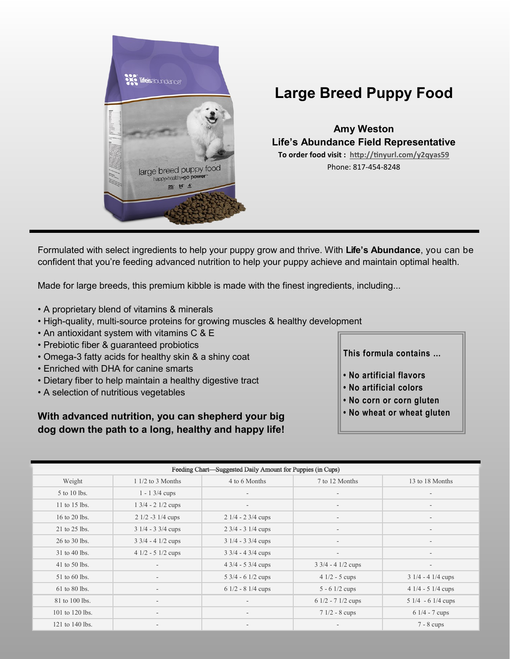

## **Large Breed Puppy Food**

**Amy Weston Life's Abundance Field Representative To order food visit : [http://tinyurl.com/y2qyas59](https://lifesabundance.com/Pets/Puppy/PuppyFoodLargeBreed.aspx?realname=20575374&category=LargeBreedPuppyFood_v11(Pet_Base))** Phone: 817-454-8248

Formulated with select ingredients to help your puppy grow and thrive. With **Life's Abundance**, you can be confident that you're feeding advanced nutrition to help your puppy achieve and maintain optimal health.

Made for large breeds, this premium kibble is made with the finest ingredients, including...

- A proprietary blend of vitamins & minerals
- High-quality, multi-source proteins for growing muscles & healthy development
- An antioxidant system with vitamins C & E
- Prebiotic fiber & guaranteed probiotics
- Omega-3 fatty acids for healthy skin & a shiny coat
- Enriched with DHA for canine smarts
- Dietary fiber to help maintain a healthy digestive tract
- A selection of nutritious vegetables

**With advanced nutrition, you can shepherd your big dog down the path to a long, healthy and happy life!**  **This formula contains …**

- **No artificial flavors**
- **No artificial colors**
- **No corn or corn gluten**
- **No wheat or wheat gluten**

| Feeding Chart-Suggested Daily Amount for Puppies (in Cups) |                                      |                                      |                                      |                          |
|------------------------------------------------------------|--------------------------------------|--------------------------------------|--------------------------------------|--------------------------|
| Weight                                                     | $11/2$ to 3 Months                   | 4 to 6 Months                        | 7 to 12 Months                       | 13 to 18 Months          |
| 5 to 10 lbs.                                               | $1 - 13/4$ cups                      | $\overline{\phantom{a}}$             | $\overline{\phantom{a}}$             |                          |
| 11 to 15 lbs.                                              | $1 \frac{3}{4} - 2 \frac{1}{2}$ cups | $\sim$                               | $\overline{\phantom{a}}$             | $\overline{\phantom{a}}$ |
| 16 to 20 lbs.                                              | $21/2 - 31/4$ cups                   | $21/4 - 23/4$ cups                   | $\overline{\phantom{a}}$             | $\overline{\phantom{a}}$ |
| 21 to 25 lbs.                                              | $31/4 - 33/4$ cups                   | $2 \frac{3}{4} - 3 \frac{1}{4}$ cups |                                      |                          |
| 26 to 30 lbs.                                              | $3 \frac{3}{4} - 4 \frac{1}{2}$ cups | $31/4 - 33/4$ cups                   | $\overline{\phantom{a}}$             | $\overline{\phantom{a}}$ |
| 31 to 40 lbs.                                              | $41/2 - 51/2$ cups                   | $3 \frac{3}{4} - 4 \frac{3}{4}$ cups | $\overline{\phantom{a}}$             | $\overline{\phantom{a}}$ |
| 41 to 50 lbs.                                              |                                      | $4\frac{3}{4}$ - 5 3/4 cups          | $3 \frac{3}{4} - 4 \frac{1}{2}$ cups |                          |
| 51 to 60 lbs.                                              |                                      | $5\frac{3}{4}$ - 6 1/2 cups          | $41/2 - 5$ cups                      | $31/4 - 41/4$ cups       |
| 61 to 80 lbs.                                              | $\overline{\phantom{a}}$             | $61/2 - 81/4$ cups                   | $5 - 61/2$ cups                      | $41/4 - 51/4$ cups       |
| 81 to 100 lbs.                                             | $\sim$                               |                                      | $61/2 - 71/2$ cups                   | $51/4 - 61/4$ cups       |
| 101 to 120 lbs.                                            |                                      | $\overline{\phantom{a}}$             | $71/2 - 8$ cups                      | $61/4 - 7$ cups          |
| 121 to 140 lbs.                                            | $\overline{\phantom{a}}$             |                                      |                                      | $7 - 8$ cups             |